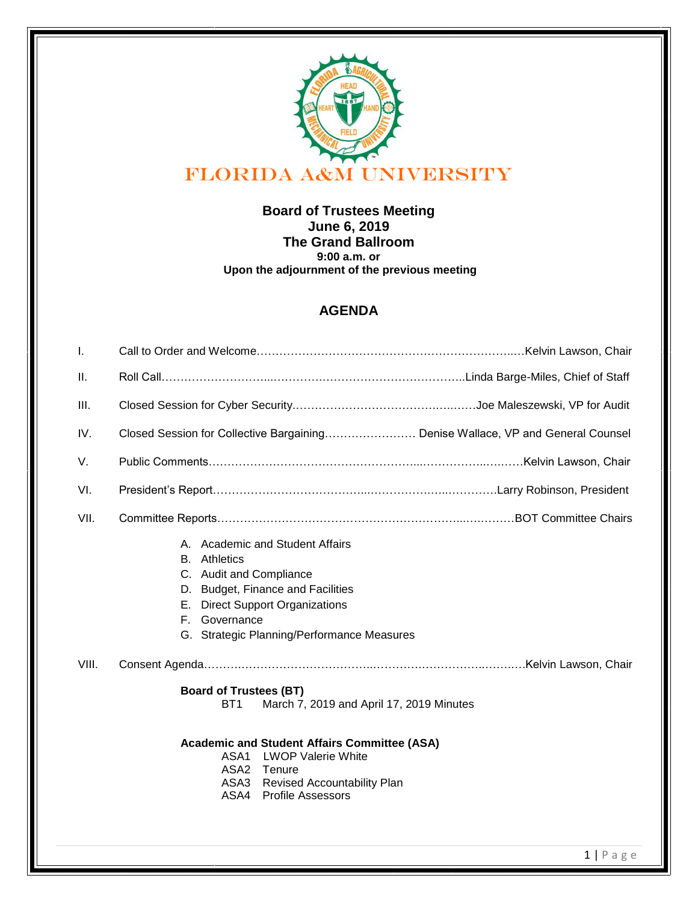

**Board of Trustees Meeting June 6, 2019 The Grand Ballroom 9:00 a.m. or Upon the adjournment of the previous meeting**

## **AGENDA**

| Closed Session for Collective Bargaining Denise Wallace, VP and General Counsel                                                                                                                                                                             |
|-------------------------------------------------------------------------------------------------------------------------------------------------------------------------------------------------------------------------------------------------------------|
|                                                                                                                                                                                                                                                             |
|                                                                                                                                                                                                                                                             |
|                                                                                                                                                                                                                                                             |
| A. Academic and Student Affairs<br><b>B.</b> Athletics<br>C. Audit and Compliance<br><b>Budget, Finance and Facilities</b><br>D.<br><b>Direct Support Organizations</b><br>Е.<br>F. Governance<br>G. Strategic Planning/Performance Measures                |
|                                                                                                                                                                                                                                                             |
| <b>Board of Trustees (BT)</b><br>March 7, 2019 and April 17, 2019 Minutes<br>BT <sub>1</sub><br><b>Academic and Student Affairs Committee (ASA)</b><br>ASA1 LWOP Valerie White<br>ASA2 Tenure<br>ASA3 Revised Accountability Plan<br>ASA4 Profile Assessors |
|                                                                                                                                                                                                                                                             |